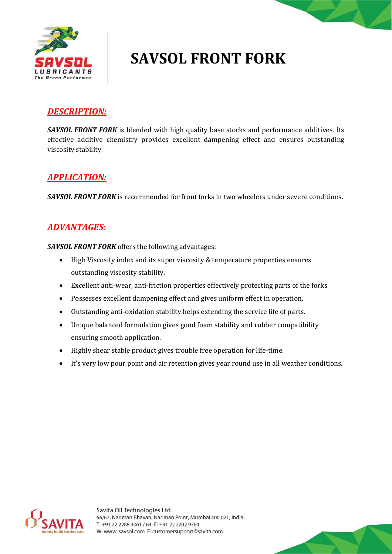

# **SAVSOL FRONT FORK**

### *DESCRIPTION:*

**SAVSOL FRONT FORK** is blended with high quality base stocks and performance additives. Its effective additive chemistry provides excellent dampening effect and ensures outstanding viscosity stability.

#### *APPLICATION:*

*SAVSOL FRONT FORK* is recommended for front forks in two wheelers under severe conditions.

#### *ADVANTAGES:*

*SAVSOL FRONT FORK* offers the following advantages:

- High Viscosity index and its super viscosity & temperature properties ensures outstanding viscosity stability.
- Excellent anti-wear, anti-friction properties effectively protecting parts of the forks
- Possesses excellent dampening effect and gives uniform effect in operation.
- Outstanding anti-oxidation stability helps extending the service life of parts.
- Unique balanced formulation gives good foam stability and rubber compatibility ensuring smooth application.
- Highly shear stable product gives trouble free operation for life-time.
- It's very low pour point and air retention gives year round use in all weather conditions.



Savita Oil Technologies Ltd 66/67, Nariman Bhavan, Nariman Point, Mumbai 400 021, India. T: +91 22 2288 3061 / 64 F: +91 22 2202 9364 W: www. savsol.com E: customersupport@savita.com